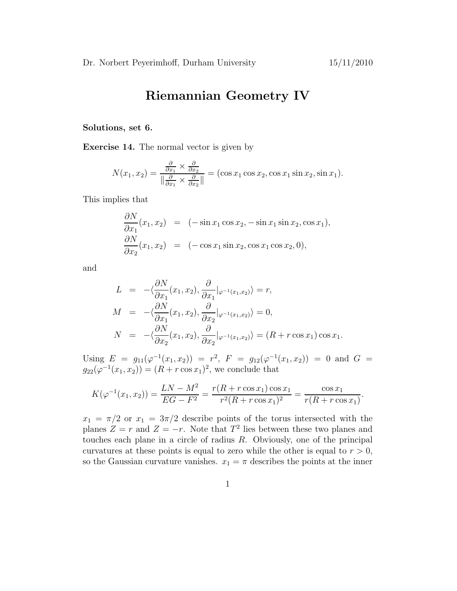## Riemannian Geometry IV

## Solutions, set 6.

Exercise 14. The normal vector is given by

$$
N(x_1, x_2) = \frac{\frac{\partial}{\partial x_1} \times \frac{\partial}{\partial x_2}}{\|\frac{\partial}{\partial x_1} \times \frac{\partial}{\partial x_2}\|} = (\cos x_1 \cos x_2, \cos x_1 \sin x_2, \sin x_1).
$$

This implies that

$$
\frac{\partial N}{\partial x_1}(x_1, x_2) = (-\sin x_1 \cos x_2, -\sin x_1 \sin x_2, \cos x_1),\n\frac{\partial N}{\partial x_2}(x_1, x_2) = (-\cos x_1 \sin x_2, \cos x_1 \cos x_2, 0),
$$

and

$$
L = -\langle \frac{\partial N}{\partial x_1}(x_1, x_2), \frac{\partial}{\partial x_1} |_{\varphi^{-1}(x_1, x_2)} \rangle = r,
$$
  
\n
$$
M = -\langle \frac{\partial N}{\partial x_1}(x_1, x_2), \frac{\partial}{\partial x_2} |_{\varphi^{-1}(x_1, x_2)} \rangle = 0,
$$
  
\n
$$
N = -\langle \frac{\partial N}{\partial x_2}(x_1, x_2), \frac{\partial}{\partial x_2} |_{\varphi^{-1}(x_1, x_2)} \rangle = (R + r \cos x_1) \cos x_1.
$$

Using  $E = g_{11}(\varphi^{-1}(x_1, x_2)) = r^2$ ,  $F = g_{12}(\varphi^{-1}(x_1, x_2)) = 0$  and  $G =$  $g_{22}(\varphi^{-1}(x_1, x_2)) = (R + r \cos x_1)^2$ , we conclude that

$$
K(\varphi^{-1}(x_1, x_2)) = \frac{LN - M^2}{EG - F^2} = \frac{r(R + r\cos x_1)\cos x_1}{r^2(R + r\cos x_1)^2} = \frac{\cos x_1}{r(R + r\cos x_1)}.
$$

 $x_1 = \pi/2$  or  $x_1 = 3\pi/2$  describe points of the torus intersected with the planes  $Z = r$  and  $Z = -r$ . Note that  $T^2$  lies between these two planes and touches each plane in a circle of radius  $R$ . Obviously, one of the principal curvatures at these points is equal to zero while the other is equal to  $r > 0$ , so the Gaussian curvature vanishes.  $x_1 = \pi$  describes the points at the inner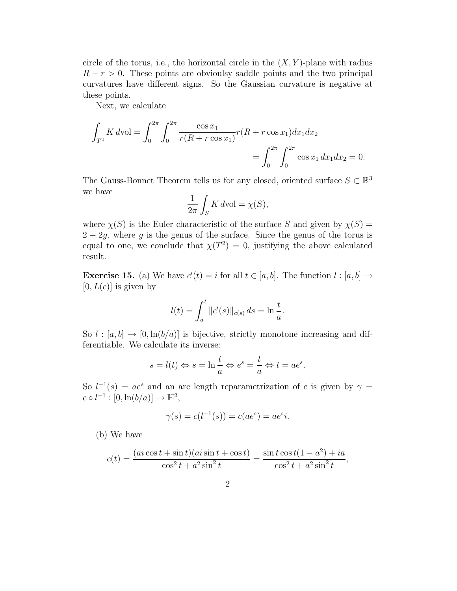circle of the torus, i.e., the horizontal circle in the  $(X, Y)$ -plane with radius  $R - r > 0$ . These points are obvioulsy saddle points and the two principal curvatures have different signs. So the Gaussian curvature is negative at these points.

Next, we calculate

$$
\int_{T^2} K dvol = \int_0^{2\pi} \int_0^{2\pi} \frac{\cos x_1}{r(R + r \cos x_1)} r(R + r \cos x_1) dx_1 dx_2
$$

$$
= \int_0^{2\pi} \int_0^{2\pi} \cos x_1 dx_1 dx_2 = 0.
$$

The Gauss-Bonnet Theorem tells us for any closed, oriented surface  $S \subset \mathbb{R}^3$ we have

$$
\frac{1}{2\pi} \int_{S} K d\text{vol} = \chi(S),
$$

where  $\chi(S)$  is the Euler characteristic of the surface S and given by  $\chi(S)$  =  $2 - 2g$ , where g is the genus of the surface. Since the genus of the torus is equal to one, we conclude that  $\chi(T^2) = 0$ , justifying the above calculated result.

**Exercise 15.** (a) We have  $c'(t) = i$  for all  $t \in [a, b]$ . The function  $l : [a, b] \rightarrow$  $[0, L(c)]$  is given by

$$
l(t) = \int_a^t \|c'(s)\|_{c(s)} ds = \ln \frac{t}{a}.
$$

So  $l : [a, b] \rightarrow [0, \ln(b/a)]$  is bijective, strictly monotone increasing and differentiable. We calculate its inverse:

$$
s = l(t) \Leftrightarrow s = \ln \frac{t}{a} \Leftrightarrow e^s = \frac{t}{a} \Leftrightarrow t = ae^s.
$$

So  $l^{-1}(s) = ae^s$  and an arc length reparametrization of c is given by  $\gamma =$  $c \circ l^{-1} : [0, \ln(b/a)] \to \mathbb{H}^2,$ 

$$
\gamma(s) = c(l^{-1}(s)) = c(ae^s) = ae^s i.
$$

(b) We have

$$
c(t) = \frac{(ai\cos t + \sin t)(ai\sin t + \cos t)}{\cos^2 t + a^2 \sin^2 t} = \frac{\sin t \cos t(1 - a^2) + ia}{\cos^2 t + a^2 \sin^2 t},
$$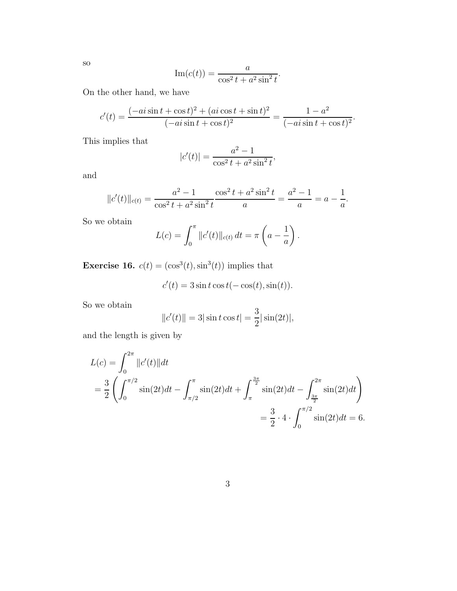so

$$
\operatorname{Im}(c(t)) = \frac{a}{\cos^2 t + a^2 \sin^2 t}.
$$

On the other hand, we have

$$
c'(t) = \frac{(-ai\sin t + \cos t)^2 + (ai\cos t + \sin t)^2}{(-ai\sin t + \cos t)^2} = \frac{1 - a^2}{(-ai\sin t + \cos t)^2}.
$$

This implies that

$$
|c'(t)| = \frac{a^2 - 1}{\cos^2 t + a^2 \sin^2 t},
$$

and

$$
||c'(t)||_{c(t)} = \frac{a^2 - 1}{\cos^2 t + a^2 \sin^2 t} \cdot \frac{\cos^2 t + a^2 \sin^2 t}{a} = \frac{a^2 - 1}{a} = a - \frac{1}{a}.
$$

So we obtain

$$
L(c) = \int_0^{\pi} ||c'(t)||_{c(t)} dt = \pi \left( a - \frac{1}{a} \right).
$$

**Exercise 16.**  $c(t) = (\cos^3(t), \sin^3(t))$  implies that

$$
c'(t) = 3\sin t \cos t(-\cos(t), \sin(t)).
$$

So we obtain

$$
||c'(t)|| = 3|\sin t \cos t| = \frac{3}{2}|\sin(2t)|,
$$

and the length is given by

$$
L(c) = \int_0^{2\pi} ||c'(t)||dt
$$
  
=  $\frac{3}{2} \left( \int_0^{\pi/2} \sin(2t)dt - \int_{\pi/2}^{\pi} \sin(2t)dt + \int_{\pi}^{\frac{3\pi}{2}} \sin(2t)dt - \int_{\frac{3\pi}{2}}^{2\pi} \sin(2t)dt \right)$   
=  $\frac{3}{2} \cdot 4 \cdot \int_0^{\pi/2} \sin(2t)dt = 6.$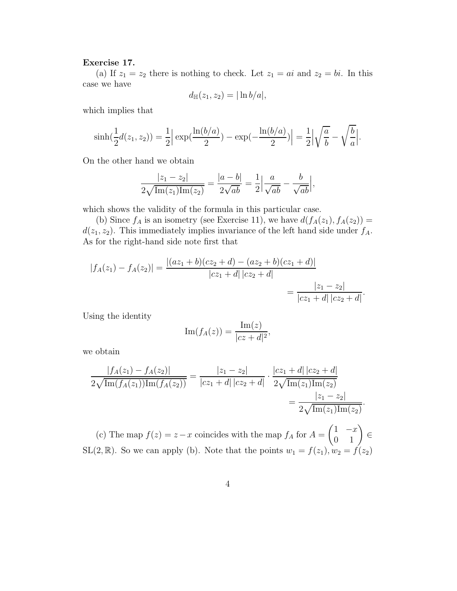## Exercise 17.

(a) If  $z_1 = z_2$  there is nothing to check. Let  $z_1 = ai$  and  $z_2 = bi$ . In this case we have

$$
d_{\mathbb{H}}(z_1, z_2) = |\ln b/a|,
$$

which implies that

$$
\sinh(\frac{1}{2}d(z_1, z_2)) = \frac{1}{2} \left| \exp(\frac{\ln(b/a)}{2}) - \exp(-\frac{\ln(b/a)}{2}) \right| = \frac{1}{2} \left| \sqrt{\frac{a}{b}} - \sqrt{\frac{b}{a}} \right|.
$$

On the other hand we obtain

$$
\frac{|z_1 - z_2|}{2\sqrt{\text{Im}(z_1)\text{Im}(z_2)}} = \frac{|a - b|}{2\sqrt{ab}} = \frac{1}{2} \left| \frac{a}{\sqrt{ab}} - \frac{b}{\sqrt{ab}} \right|,
$$

which shows the validity of the formula in this particular case.

(b) Since  $f_A$  is an isometry (see Exercise 11), we have  $d(f_A(z_1), f_A(z_2)) =$  $d(z_1, z_2)$ . This immediately implies invariance of the left hand side under  $f_A$ . As for the right-hand side note first that

$$
|f_A(z_1) - f_A(z_2)| = \frac{|(az_1 + b)(cz_2 + d) - (az_2 + b)(cz_1 + d)|}{|cz_1 + d||cz_2 + d|}
$$
  
= 
$$
\frac{|z_1 - z_2|}{|cz_1 + d||cz_2 + d|}.
$$

Using the identity

$$
\operatorname{Im}(f_A(z)) = \frac{\operatorname{Im}(z)}{|cz+d|^2},
$$

we obtain

$$
\frac{|f_A(z_1) - f_A(z_2)|}{2\sqrt{\text{Im}(f_A(z_1))\text{Im}(f_A(z_2))}} = \frac{|z_1 - z_2|}{|cz_1 + d| |cz_2 + d|} \cdot \frac{|cz_1 + d| |cz_2 + d|}{2\sqrt{\text{Im}(z_1)\text{Im}(z_2)}} = \frac{|z_1 - z_2|}{2\sqrt{\text{Im}(z_1)\text{Im}(z_2)}}.
$$

(c) The map  $f(z) = z - x$  coincides with the map  $f_A$  for  $A = \begin{pmatrix} 1 & -x \\ 0 & 1 \end{pmatrix} \in$ SL(2, R). So we can apply (b). Note that the points  $w_1 = f(z_1)$ ,  $w_2 = f(z_2)$